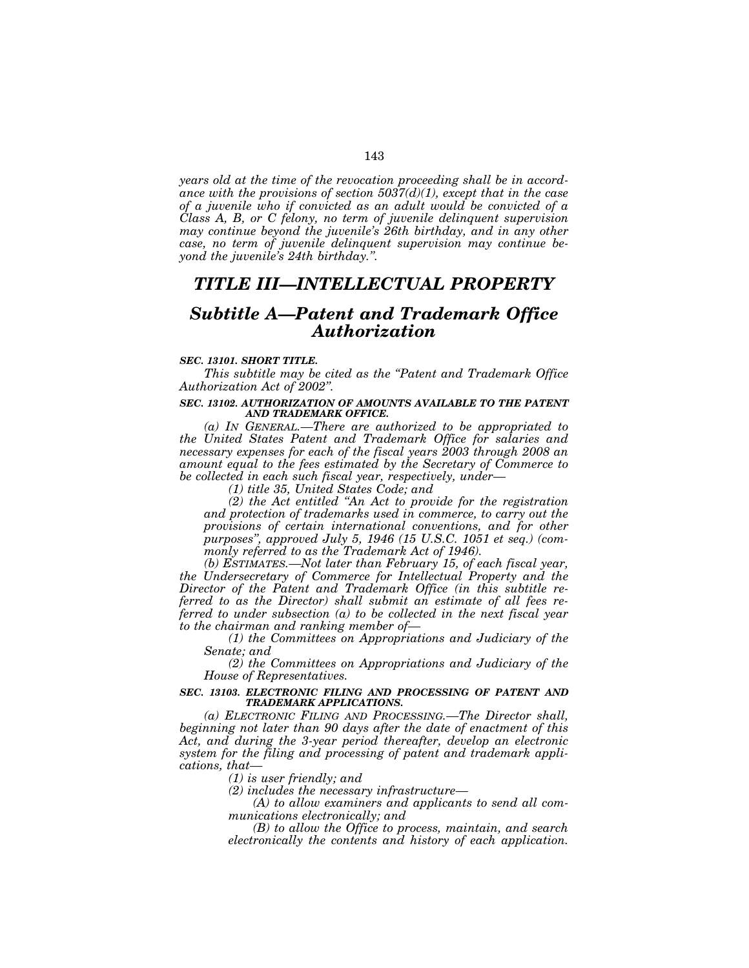*years old at the time of the revocation proceeding shall be in accordance with the provisions of section 5037(d)(1), except that in the case of a juvenile who if convicted as an adult would be convicted of a Class A, B, or C felony, no term of juvenile delinquent supervision may continue beyond the juvenile's 26th birthday, and in any other case, no term of juvenile delinquent supervision may continue beyond the juvenile's 24th birthday.''.* 

# *TITLE III—INTELLECTUAL PROPERTY*

# *Subtitle A—Patent and Trademark Office Authorization*

### *SEC. 13101. SHORT TITLE.*

*This subtitle may be cited as the ''Patent and Trademark Office Authorization Act of 2002''.* 

### *SEC. 13102. AUTHORIZATION OF AMOUNTS AVAILABLE TO THE PATENT AND TRADEMARK OFFICE.*

*(a) IN GENERAL.—There are authorized to be appropriated to the United States Patent and Trademark Office for salaries and necessary expenses for each of the fiscal years 2003 through 2008 an amount equal to the fees estimated by the Secretary of Commerce to be collected in each such fiscal year, respectively, under—* 

*(1) title 35, United States Code; and* 

*(2) the Act entitled ''An Act to provide for the registration and protection of trademarks used in commerce, to carry out the provisions of certain international conventions, and for other purposes'', approved July 5, 1946 (15 U.S.C. 1051 et seq.) (commonly referred to as the Trademark Act of 1946).* 

*(b) ESTIMATES.—Not later than February 15, of each fiscal year, the Undersecretary of Commerce for Intellectual Property and the Director of the Patent and Trademark Office (in this subtitle referred to as the Director) shall submit an estimate of all fees referred to under subsection (a) to be collected in the next fiscal year to the chairman and ranking member of—* 

*(1) the Committees on Appropriations and Judiciary of the Senate; and* 

*(2) the Committees on Appropriations and Judiciary of the House of Representatives.* 

### **SEC. 13103. ELECTRONIC FILING AND PROCESSING OF PATENT AND** *TRADEMARK APPLICATIONS.*

*(a) ELECTRONIC FILING AND PROCESSING.—The Director shall, beginning not later than 90 days after the date of enactment of this Act, and during the 3-year period thereafter, develop an electronic system for the filing and processing of patent and trademark applications, that—* 

*(1) is user friendly; and* 

*(2) includes the necessary infrastructure—* 

*(A) to allow examiners and applicants to send all communications electronically; and* 

*(B) to allow the Office to process, maintain, and search electronically the contents and history of each application.*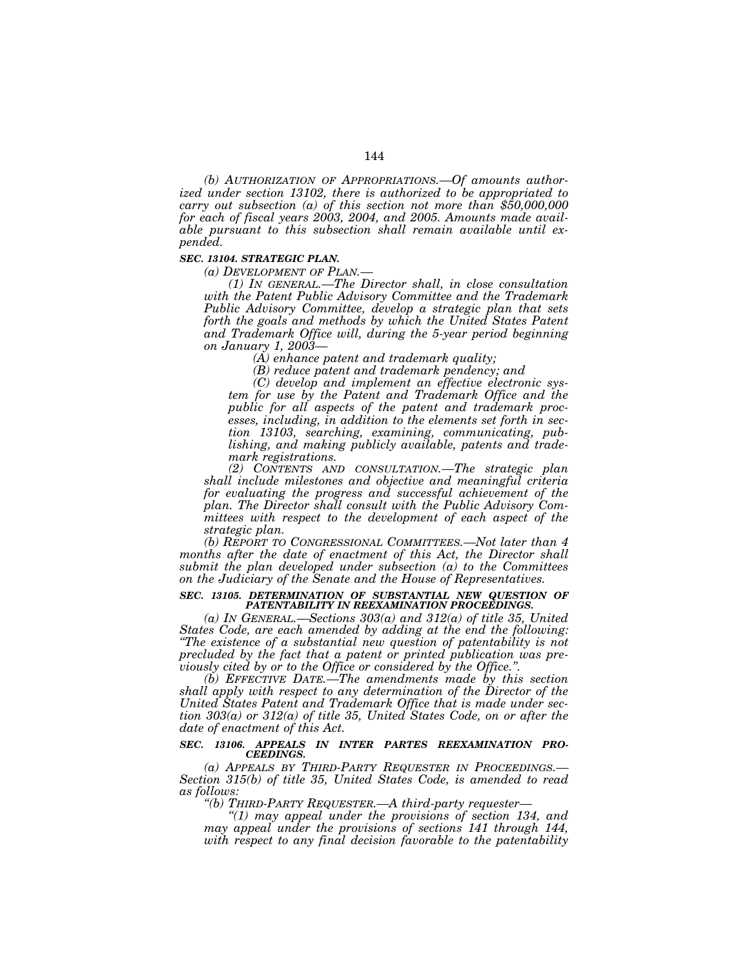*(b) AUTHORIZATION OF APPROPRIATIONS.—Of amounts authorized under section 13102, there is authorized to be appropriated to carry out subsection (a) of this section not more than \$50,000,000 for each of fiscal years 2003, 2004, and 2005. Amounts made available pursuant to this subsection shall remain available until expended.* 

### *SEC. 13104. STRATEGIC PLAN.*

*(a) DEVELOPMENT OF PLAN.—* 

*(1) IN GENERAL.—The Director shall, in close consultation with the Patent Public Advisory Committee and the Trademark Public Advisory Committee, develop a strategic plan that sets forth the goals and methods by which the United States Patent and Trademark Office will, during the 5-year period beginning on January 1, 2003—* 

*(A) enhance patent and trademark quality;* 

*(B) reduce patent and trademark pendency; and* 

*(C) develop and implement an effective electronic sys tem for use by the Patent and Trademark Office and the public for all aspects of the patent and trademark proc esses, including, in addition to the elements set forth in sec tion 13103, searching, examining, communicating, pub lishing, and making publicly available, patents and trade mark registrations.* 

*(2) CONTENTS AND CONSULTATION.—The strategic plan shall include milestones and objective and meaningful criteria for evaluating the progress and successful achievement of the plan. The Director shall consult with the Public Advisory Com mittees with respect to the development of each aspect of the strategic plan.* 

*(b) REPORT TO CONGRESSIONAL COMMITTEES.—Not later than 4 months after the date of enactment of this Act, the Director shall submit the plan developed under subsection (a) to the Committees on the Judiciary of the Senate and the House of Representatives.* 

### *SEC. 13105. DETERMINATION OF SUBSTANTIAL NEW QUESTION OF PATENTABILITY IN REEXAMINATION PROCEEDINGS.*

 $(a)$  IN GENERAL.—Sections  $303(a)$  and  $312(a)$  of title 35, United *States Code, are each amended by adding at the end the following: ''The existence of a substantial new question of patentability is not precluded by the fact that a patent or printed publication was previously cited by or to the Office or considered by the Office.''.* 

*(b) EFFECTIVE DATE.—The amendments made by this section shall apply with respect to any determination of the Director of the United States Patent and Trademark Office that is made under section 303(a) or 312(a) of title 35, United States Code, on or after the date of enactment of this Act.* 

### *SEC. 13106. APPEALS IN INTER PARTES REEXAMINATION PRO-CEEDINGS.*

*(a) APPEALS BY THIRD-PARTY REQUESTER IN PROCEEDINGS.— Section 315(b) of title 35, United States Code, is amended to read as follows: ''(b) THIRD-PARTY REQUESTER.—A third-party requester— ''(1) may appeal under the provisions of section 134, and* 

*may appeal under the provisions of sections 141 through 144, with respect to any final decision favorable to the patentability*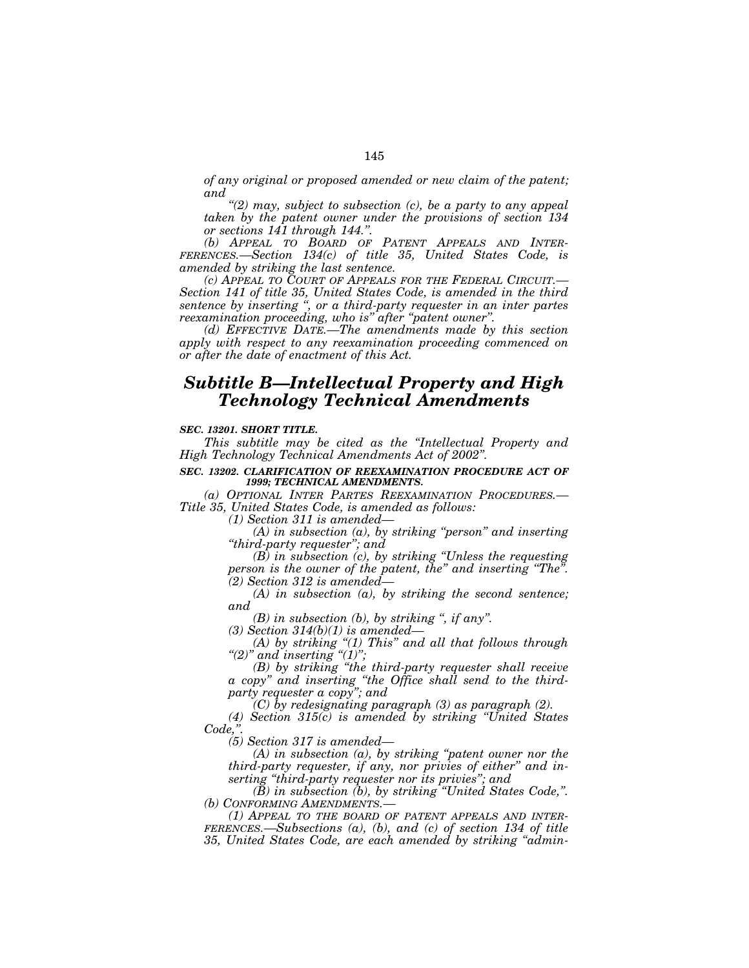*of any original or proposed amended or new claim of the patent; and* 

*''(2) may, subject to subsection (c), be a party to any appeal taken by the patent owner under the provisions of section 134 or sections 141 through 144.''.* 

*(b) APPEAL TO BOARD OF PATENT APPEALS AND INTER-FERENCES.—Section 134(c) of title 35, United States Code, is amended by striking the last sentence.* 

*(c) APPEAL TO COURT OF APPEALS FOR THE FEDERAL CIRCUIT.— Section 141 of title 35, United States Code, is amended in the third sentence by inserting '', or a third-party requester in an inter partes reexamination proceeding, who is'' after ''patent owner''.* 

*(d) EFFECTIVE DATE.—The amendments made by this section apply with respect to any reexamination proceeding commenced on or after the date of enactment of this Act.* 

# *Subtitle B—Intellectual Property and High Technology Technical Amendments*

### *SEC. 13201. SHORT TITLE.*

*This subtitle may be cited as the ''Intellectual Property and High Technology Technical Amendments Act of 2002''.* 

#### *SEC. 13202. CLARIFICATION OF REEXAMINATION PROCEDURE ACT OF 1999; TECHNICAL AMENDMENTS.*

*(a) OPTIONAL INTER PARTES REEXAMINATION PROCEDURES.— Title 35, United States Code, is amended as follows:* 

*(1) Section 311 is amended—* 

*(A) in subsection (a), by striking ''person'' and inserting ''third-party requester''; and* 

*(B) in subsection (c), by striking ''Unless the requesting person is the owner of the patent, the'' and inserting ''The''. (2) Section 312 is amended—* 

*(A) in subsection (a), by striking the second sentence; and* 

*(B) in subsection (b), by striking '', if any''.* 

*(3) Section 314(b)(1) is amended—* 

*(A) by striking ''(1) This'' and all that follows through ''(2)'' and inserting ''(1)'';* 

*(B) by striking ''the third-party requester shall receive a copy'' and inserting ''the Office shall send to the thirdparty requester a copy''; and* 

*(C) by redesignating paragraph (3) as paragraph (2).* 

*(4) Section 315(c) is amended by striking ''United States Code,''.* 

*(5) Section 317 is amended—* 

*(A) in subsection (a), by striking ''patent owner nor the third-party requester, if any, nor privies of either'' and inserting ''third-party requester nor its privies''; and* 

*(B) in subsection (b), by striking ''United States Code,''. (b) CONFORMING AMENDMENTS.—* 

*(1) APPEAL TO THE BOARD OF PATENT APPEALS AND INTER-FERENCES.—Subsections (a), (b), and (c) of section 134 of title 35, United States Code, are each amended by striking ''admin-*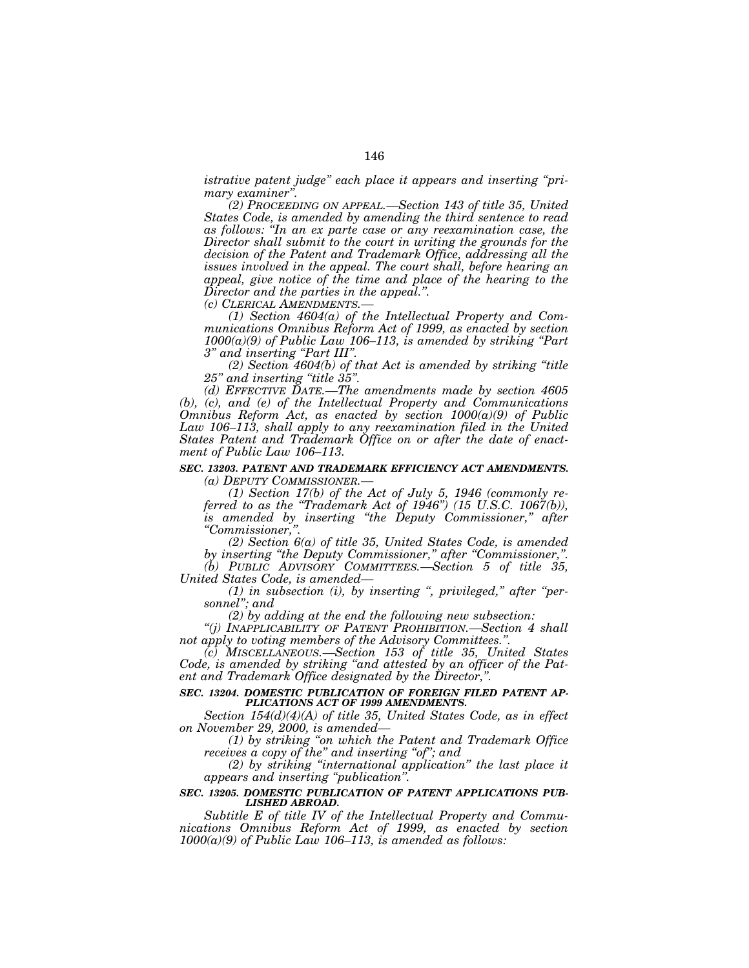*istrative patent judge'' each place it appears and inserting ''primary examiner''.* 

*(2) PROCEEDING ON APPEAL.—Section 143 of title 35, United States Code, is amended by amending the third sentence to read as follows: ''In an ex parte case or any reexamination case, the Director shall submit to the court in writing the grounds for the decision of the Patent and Trademark Office, addressing all the issues involved in the appeal. The court shall, before hearing an appeal, give notice of the time and place of the hearing to the Director and the parties in the appeal.''.* 

*(c) CLERICAL AMENDMENTS.—* 

*(1) Section 4604(a) of the Intellectual Property and Communications Omnibus Reform Act of 1999, as enacted by section 1000(a)(9) of Public Law 106–113, is amended by striking ''Part 3'' and inserting ''Part III''.* 

*(2) Section 4604(b) of that Act is amended by striking ''title 25'' and inserting ''title 35''.* 

*(d) EFFECTIVE DATE.—The amendments made by section 4605 (b), (c), and (e) of the Intellectual Property and Communications Omnibus Reform Act, as enacted by section 1000(a)(9) of Public*  Law 106–113, shall apply to any reexamination filed in the United *States Patent and Trademark Office on or after the date of enactment of Public Law 106–113.* 

### *SEC. 13203. PATENT AND TRADEMARK EFFICIENCY ACT AMENDMENTS. (a) DEPUTY COMMISSIONER.—*

*(1) Section 17(b) of the Act of July 5, 1946 (commonly referred to as the ''Trademark Act of 1946'') (15 U.S.C. 1067(b)), is amended by inserting ''the Deputy Commissioner,'' after ''Commissioner,''.* 

*(2) Section 6(a) of title 35, United States Code, is amended*  by inserting "the Deputy Commissioner," after "Commissioner," *(b) PUBLIC ADVISORY COMMITTEES.—Section 5 of title 35,* 

*United States Code, is amended—* 

*(1) in subsection (i), by inserting '', privileged,'' after ''personnel''; and* 

*(2) by adding at the end the following new subsection:* 

*''(j) INAPPLICABILITY OF PATENT PROHIBITION.—Section 4 shall not apply to voting members of the Advisory Committees.''.* 

*(c) MISCELLANEOUS.—Section 153 of title 35, United States Code, is amended by striking ''and attested by an officer of the Patent and Trademark Office designated by the Director,''.* 

### *SEC. 13204. DOMESTIC PUBLICATION OF FOREIGN FILED PATENT AP-PLICATIONS ACT OF 1999 AMENDMENTS.*

*Section 154(d)(4)(A) of title 35, United States Code, as in effect on November 29, 2000, is amended—* 

*(1) by striking ''on which the Patent and Trademark Office receives a copy of the'' and inserting ''of''; and* 

*(2) by striking ''international application'' the last place it appears and inserting ''publication''.* 

### *SEC. 13205. DOMESTIC PUBLICATION OF PATENT APPLICATIONS PUB-LISHED ABROAD.*

*Subtitle E of title IV of the Intellectual Property and Communications Omnibus Reform Act of 1999, as enacted by section*   $1000(a)(9)$  of Public Law 106–113, is amended as follows: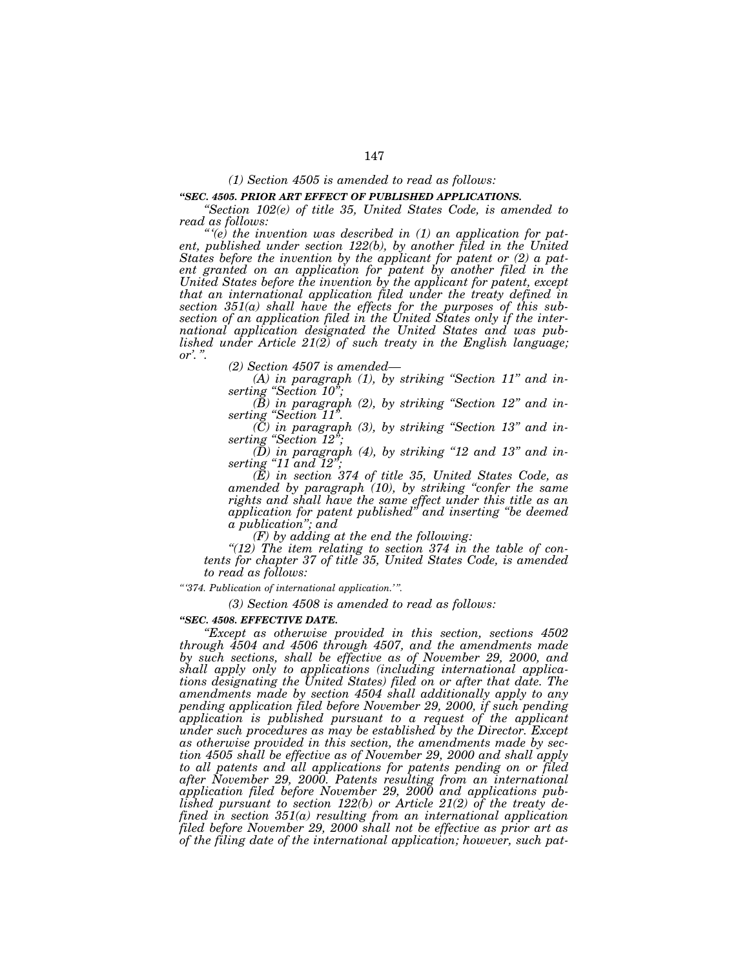### *(1) Section 4505 is amended to read as follows:*

### *''SEC. 4505. PRIOR ART EFFECT OF PUBLISHED APPLICATIONS.*

*''Section 102(e) of title 35, United States Code, is amended to read as follows:* 

*'' '(e) the invention was described in (1) an application for pat*ent, published under section 122(b), by another filed in the United *States before the invention by the applicant for patent or (2) a patent granted on an application for patent by another filed in the United States before the invention by the applicant for patent, except that an international application filed under the treaty defined in section 351(a) shall have the effects for the purposes of this subsection of an application filed in the United States only if the international application designated the United States and was published under Article 21(2) of such treaty in the English language;* 

(2) Section 4507 is amended—<br>(A) in paragraph (1), by striking "Section 11" and in*serting ''Section 10'';* 

*(B) in paragraph (2), by striking ''Section 12'' and inserting "Section 11".*<br>(C) in paragraph (3), by striking "Section 13" and in-

*serting ''Section 12'';* 

*(D) in paragraph (4), by striking ''12 and 13'' and inserting ''11 and 12'';* 

*(E) in section 374 of title 35, United States Code, as amended by paragraph (10), by striking ''confer the same rights and shall have the same effect under this title as an application for patent published'' and inserting ''be deemed a publication''; and* 

*(F) by adding at the end the following: ''(12) The item relating to section 374 in the table of contents for chapter 37 of title 35, United States Code, is amended to read as follows:* 

*'' '374. Publication of international application.' ''.* 

*(3) Section 4508 is amended to read as follows:* 

### *''SEC. 4508. EFFECTIVE DATE.*

*''Except as otherwise provided in this section, sections 4502 through 4504 and 4506 through 4507, and the amendments made by such sections, shall be effective as of November 29, 2000, and shall apply only to applications (including international applications designating the United States) filed on or after that date. The amendments made by section 4504 shall additionally apply to any pending application filed before November 29, 2000, if such pending application is published pursuant to a request of the applicant under such procedures as may be established by the Director. Except as otherwise provided in this section, the amendments made by section 4505 shall be effective as of November 29, 2000 and shall apply to all patents and all applications for patents pending on or filed after November 29, 2000. Patents resulting from an international application filed before November 29, 2000 and applications published pursuant to section 122(b) or Article 21(2) of the treaty defined in section 351(a) resulting from an international application filed before November 29, 2000 shall not be effective as prior art as of the filing date of the international application; however, such pat-*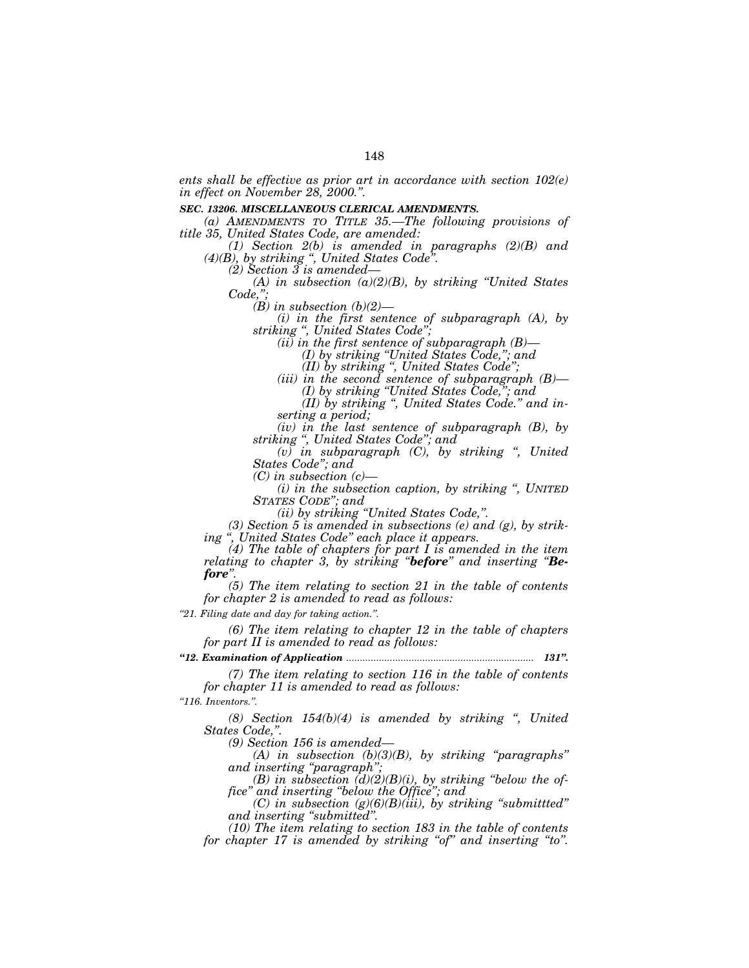*ents shall be effective as prior art in accordance with section 102(e) in effect on November 28, 2000.''.* 

### *SEC. 13206. MISCELLANEOUS CLERICAL AMENDMENTS.*

*(a) AMENDMENTS TO TITLE 35.—The following provisions of title 35, United States Code, are amended:* 

*(1) Section 2(b) is amended in paragraphs (2)(B) and* 

(2) Section 3 is amended—<br>(A) in subsection  $(a)(2)(B)$ , by striking "United States  $Code,$ ";<br> *(B)* in subsection  $(b)(2)$ —

 $(i)$  in the first sentence of subparagraph  $(A)$ , by *striking* ", United States Code";<br>
(ii) in the first sentence of subparagraph (B)—

*(ii) in the first sentence of subparagraph (B)— (I) by striking ''United States Code,''; and* 

*(II) by striking '', United States Code'';* 

*(iii) in the second sentence of subparagraph (B)— (I) by striking ''United States Code,''; and* 

*(II) by striking '', United States Code.'' and inserting a period;* 

*(iv) in the last sentence of subparagraph (B), by striking '', United States Code''; and* 

*(v) in subparagraph (C), by striking '', United States Code''; and* 

*(i) in the subsection caption, by striking ", UNITED STATES CODE''; and* 

*(ii) by striking ''United States Code,''.* 

*(3) Section 5 is amended in subsections (e) and (g), by striking '', United States Code'' each place it appears.* 

*(4) The table of chapters for part I is amended in the item relating to chapter 3, by striking ''before'' and inserting ''Before''.* 

*(5) The item relating to section 21 in the table of contents for chapter 2 is amended to read as follows:* 

*''21. Filing date and day for taking action.''.* 

*(6) The item relating to chapter 12 in the table of chapters for part II is amended to read as follows:* 

*''12. Examination of Application ..................................................................... 131''.* 

*(7) The item relating to section 116 in the table of contents for chapter 11 is amended to read as follows:* 

*''116. Inventors.''.* 

*(8) Section 154(b)(4) is amended by striking '', United States Code,''.* 

*(9) Section 156 is amended—* 

*(A) in subsection (b)(3)(B), by striking ''paragraphs'' and inserting ''paragraph'';* 

*(B) in subsection (d)(2)(B)(i), by striking ''below the office'' and inserting ''below the Office''; and* 

*(C) in subsection (g)(6)(B)(iii), by striking ''submittted'' and inserting ''submitted''.* 

*(10) The item relating to section 183 in the table of contents for chapter 17 is amended by striking ''of'' and inserting ''to''.*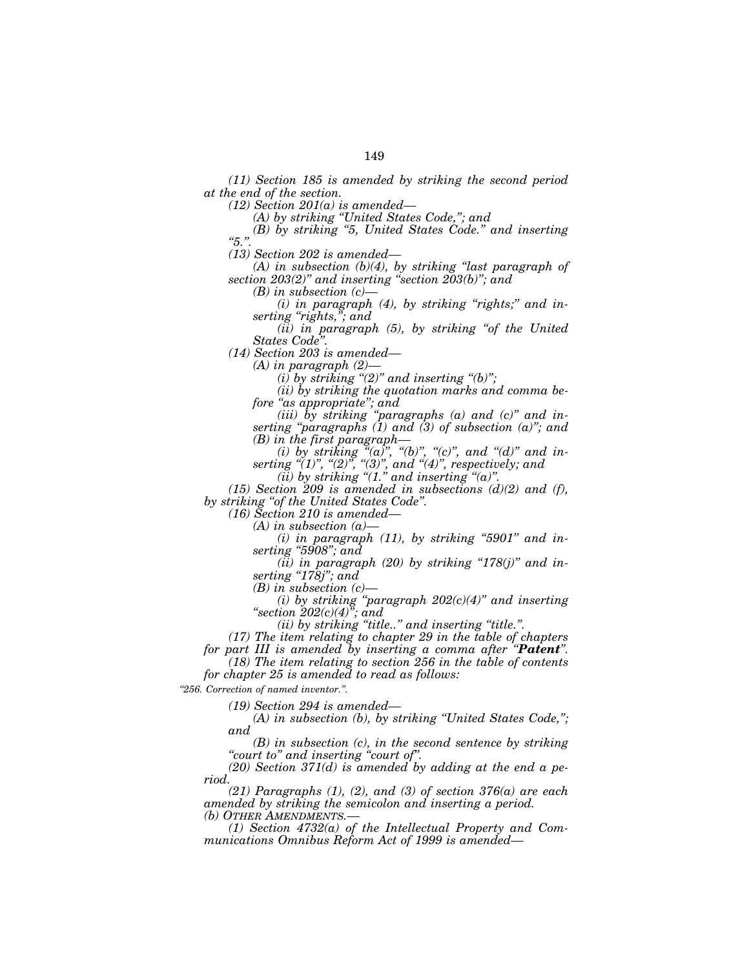*(11) Section 185 is amended by striking the second period at the end of the section.* 

*(12) Section 201(a) is amended—* 

*(A) by striking ''United States Code,''; and* 

*(B) by striking ''5, United States Code.'' and inserting ''5.''.* 

*(13) Section 202 is amended—* 

*(A) in subsection (b)(4), by striking ''last paragraph of section 203(2)'' and inserting ''section 203(b)''; and* 

*(B) in subsection (c)—* 

*(i) in paragraph (4), by striking ''rights;'' and inserting ''rights,''; and* 

*(ii) in paragraph (5), by striking ''of the United States Code''.* 

*(14) Section 203 is amended—* 

*(A) in paragraph (2)—* 

 $(i)$  by striking " $(2)$ " and inserting " $(b)$ ";

*(ii) by striking the quotation marks and comma before ''as appropriate''; and* 

*(iii) by striking ''paragraphs (a) and (c)'' and inserting ''paragraphs (1) and (3) of subsection (a)''; and (B) in the first paragraph—* 

*(i) by striking ''(a)'', ''(b)'', ''(c)'', and ''(d)'' and inserting ''(1)'', ''(2)'', ''(3)'', and ''(4)'', respectively; and* 

*(ii) by striking ''(1.'' and inserting ''(a)''.* 

*(15) Section 209 is amended in subsections (d)(2) and (f), by striking ''of the United States Code''.* 

*(16) Section 210 is amended—* 

*(A) in subsection (a)—* 

*(i) in paragraph (11), by striking ''5901'' and inserting ''5908''; and* 

*(ii) in paragraph (20) by striking ''178(j)'' and inserting ''178j''; and* 

*(B) in subsection (c)—* 

*(i) by striking ''paragraph 202(c)(4)'' and inserting ''section 202(c)(4)''; and* 

*(ii) by striking ''title..'' and inserting ''title.''.* 

*(17) The item relating to chapter 29 in the table of chapters* 

*for part III is amended by inserting a comma after ''Patent''. (18) The item relating to section 256 in the table of contents* 

*for chapter 25 is amended to read as follows:* 

*''256. Correction of named inventor.''.* 

*(19) Section 294 is amended—* 

*(A) in subsection (b), by striking ''United States Code,''; and* 

*(B) in subsection (c), in the second sentence by striking ''court to'' and inserting ''court of''.* 

*(20) Section 371(d) is amended by adding at the end a period.* 

*(21) Paragraphs (1), (2), and (3) of section 376(a) are each amended by striking the semicolon and inserting a period.* 

*(b) OTHER AMENDMENTS.— (1) Section 4732(a) of the Intellectual Property and Communications Omnibus Reform Act of 1999 is amended—*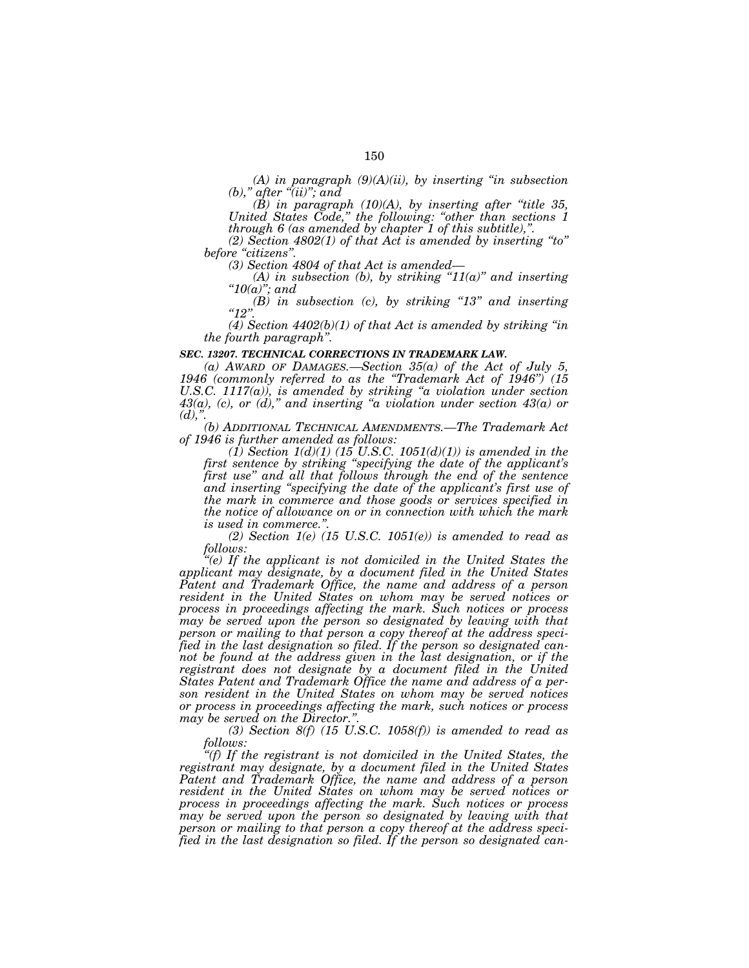*(A) in paragraph (9)(A)(ii), by inserting ''in subsection (b),'' after ''(ii)''; and* 

*(B) in paragraph (10)(A), by inserting after ''title 35, United States Code,'' the following: ''other than sections 1* 

*through 6 (as amended by chapter 1 of this subtitle),".* (2) Section 4802(1) of that Act is amended by inserting "to" before "citizens".

*(3) Section 4804 of that Act is amended—* (*A) in subsection (b), by striking "11(a)" and inserting "10(a)"; and (B) in subsection (c), by striking "13" and inserting* 

*(B) in subsection (c), by striking ''13'' and inserting ''12''. (4) Section 4402(b)(1) of that Act is amended by striking ''in* 

*the fourth paragraph''.* 

#### *SEC. 13207. TECHNICAL CORRECTIONS IN TRADEMARK LAW.*

*(a) AWARD OF DAMAGES.—Section 35(a) of the Act of July 5, 1946 (commonly referred to as the ''Trademark Act of 1946'') (15 U.S.C. 1117(a)), is amended by striking "a violation under section*  $43(a)$ , (c), or (d)," and inserting "a violation under section  $43(a)$  or  $(d)$ ,".

*(b) ADDITIONAL TECHNICAL AMENDMENTS.—The Trademark Act of 1946 is further amended as follows:* 

*(1) Section 1(d)(1) (15 U.S.C. 1051(d)(1)) is amended in the first sentence by striking ''specifying the date of the applicant's first use'' and all that follows through the end of the sentence and inserting ''specifying the date of the applicant's first use of the mark in commerce and those goods or services specified in the notice of allowance on or in connection with which the mark* 

 $(2)$  Section 1(e) (15 U.S.C. 1051(e)) is amended to read as *follows:* 

*''(e) If the applicant is not domiciled in the United States the applicant may designate, by a document filed in the United States Patent and Trademark Office, the name and address of a person resident in the United States on whom may be served notices or process in proceedings affecting the mark. Such notices or process may be served upon the person so designated by leaving with that person or mailing to that person a copy thereof at the address specified in the last designation so filed. If the person so designated cannot be found at the address given in the last designation, or if the*  registrant does not designate by a document filed in the United *States Patent and Trademark Office the name and address of a person resident in the United States on whom may be served notices or process in proceedings affecting the mark, such notices or process may be served on the Director.''.* 

*(3) Section 8(f) (15 U.S.C. 1058(f)) is amended to read as follows:* 

*''(f) If the registrant is not domiciled in the United States, the registrant may designate, by a document filed in the United States Patent and Trademark Office, the name and address of a person resident in the United States on whom may be served notices or process in proceedings affecting the mark. Such notices or process may be served upon the person so designated by leaving with that person or mailing to that person a copy thereof at the address specified in the last designation so filed. If the person so designated can-*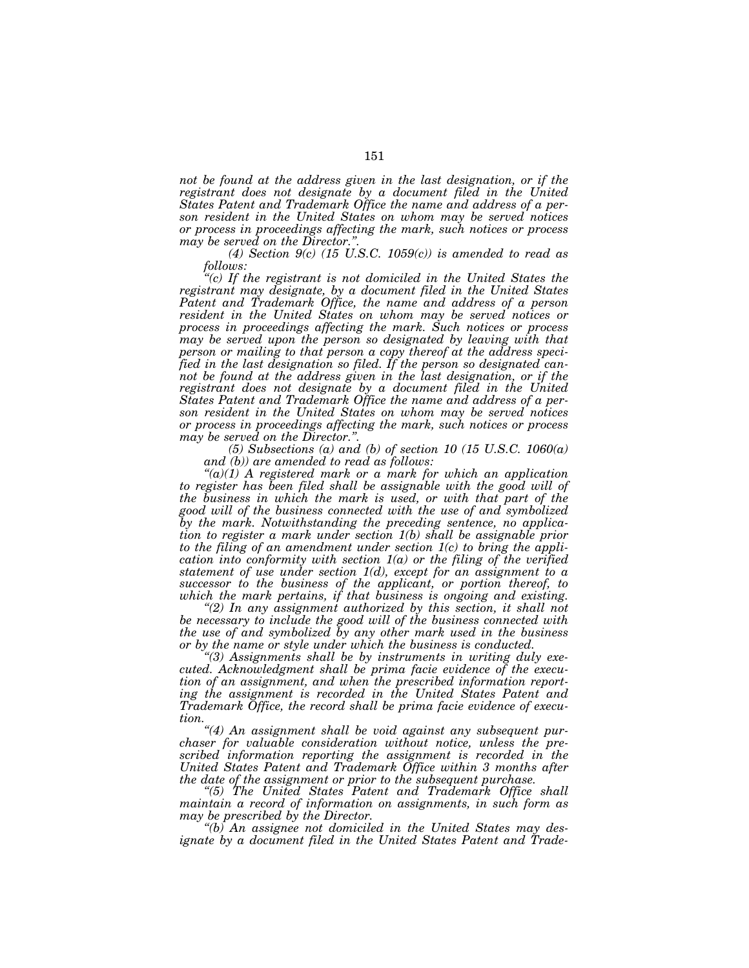*not be found at the address given in the last designation, or if the registrant does not designate by a document filed in the United States Patent and Trademark Office the name and address of a person resident in the United States on whom may be served notices or process in proceedings affecting the mark, such notices or process* 

 $4)$  Section 9(c) (15 U.S.C. 1059(c)) is amended to read as *follows:* 

*''(c) If the registrant is not domiciled in the United States the registrant may designate, by a document filed in the United States Patent and Trademark Office, the name and address of a person resident in the United States on whom may be served notices or process in proceedings affecting the mark. Such notices or process may be served upon the person so designated by leaving with that person or mailing to that person a copy thereof at the address specified in the last designation so filed. If the person so designated cannot be found at the address given in the last designation, or if the* registrant does not designate by a document filed in the United *States Patent and Trademark Office the name and address of a person resident in the United States on whom may be served notices or process in proceedings affecting the mark, such notices or process* 

 $(5)$  Subsections (a) and (b) of section 10 (15 U.S.C. 1060(a) *and (b)) are amended to read as follows:* 

*''(a)(1) A registered mark or a mark for which an application to register has been filed shall be assignable with the good will of the business in which the mark is used, or with that part of the good will of the business connected with the use of and symbolized by the mark. Notwithstanding the preceding sentence, no application to register a mark under section 1(b) shall be assignable prior to the filing of an amendment under section 1(c) to bring the application into conformity with section 1(a) or the filing of the verified statement of use under section 1(d), except for an assignment to a successor to the business of the applicant, or portion thereof, to which the mark pertains, if that business is ongoing and existing.* 

*''(2) In any assignment authorized by this section, it shall not be necessary to include the good will of the business connected with the use of and symbolized by any other mark used in the business or by the name or style under which the business is conducted.* 

*''(3) Assignments shall be by instruments in writing duly executed. Acknowledgment shall be prima facie evidence of the execution of an assignment, and when the prescribed information reporting the assignment is recorded in the United States Patent and Trademark Office, the record shall be prima facie evidence of execution.* 

*''(4) An assignment shall be void against any subsequent purchaser for valuable consideration without notice, unless the prescribed information reporting the assignment is recorded in the United States Patent and Trademark Office within 3 months after the date of the assignment or prior to the subsequent purchase.* 

*''(5) The United States Patent and Trademark Office shall maintain a record of information on assignments, in such form as may be prescribed by the Director.* 

*''(b) An assignee not domiciled in the United States may designate by a document filed in the United States Patent and Trade-*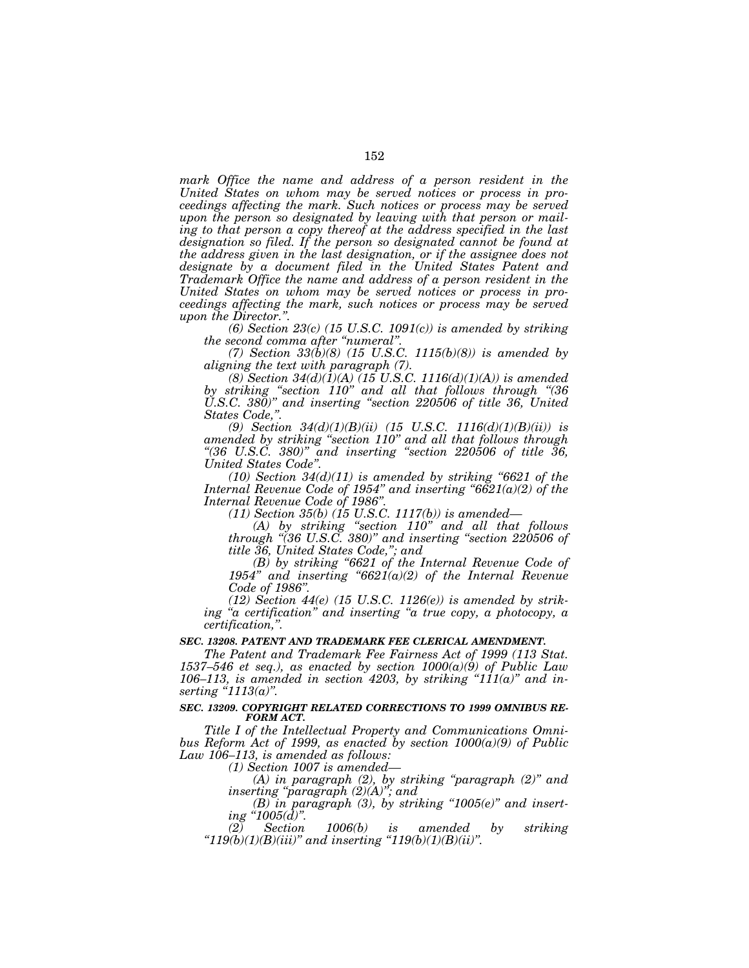*mark Office the name and address of a person resident in the United States on whom may be served notices or process in proceedings affecting the mark. Such notices or process may be served upon the person so designated by leaving with that person or mailing to that person a copy thereof at the address specified in the last designation so filed. If the person so designated cannot be found at the address given in the last designation, or if the assignee does not designate by a document filed in the United States Patent and Trademark Office the name and address of a person resident in the United States on whom may be served notices or process in proceedings affecting the mark, such notices or process may be served upon the Director.''.* 

*(6) Section 23(c) (15 U.S.C. 1091(c)) is amended by striking the second comma after ''numeral''.* 

*(7) Section 33(b)(8) (15 U.S.C. 1115(b)(8)) is amended by aligning the text with paragraph (7).* 

*(8) Section 34(d)(1)(A) (15 U.S.C. 1116(d)(1)(A)) is amended by striking ''section 110'' and all that follows through ''(36 U.S.C. 380)'' and inserting ''section 220506 of title 36, United States Code,''.* 

*(9) Section 34(d)(1)(B)(ii) (15 U.S.C. 1116(d)(1)(B)(ii)) is amended by striking ''section 110'' and all that follows through ''(36 U.S.C. 380)'' and inserting ''section 220506 of title 36, United States Code''.* 

*(10) Section 34(d)(11) is amended by striking ''6621 of the Internal Revenue Code of 1954'' and inserting ''6621(a)(2) of the Internal Revenue Code of 1986''.* 

*(11) Section 35(b) (15 U.S.C. 1117(b)) is amended—* 

*(A) by striking ''section 110'' and all that follows through ''(36 U.S.C. 380)'' and inserting ''section 220506 of title 36, United States Code,''; and* 

*(B) by striking ''6621 of the Internal Revenue Code of 1954'' and inserting ''6621(a)(2) of the Internal Revenue Code of 1986''.* 

*(12) Section 44(e) (15 U.S.C. 1126(e)) is amended by striking ''a certification'' and inserting ''a true copy, a photocopy, a certification,''.* 

### *SEC. 13208. PATENT AND TRADEMARK FEE CLERICAL AMENDMENT.*

*The Patent and Trademark Fee Fairness Act of 1999 (113 Stat.*  1537–546 et seq.), as enacted by section  $1000(a)(9)$  of Public Law 106–113, is amended in section 4203, by striking " $111(a)$ " and in*serting ''1113(a)''.* 

### *SEC. 13209. COPYRIGHT RELATED CORRECTIONS TO 1999 OMNIBUS RE-FORM ACT.*

*Title I of the Intellectual Property and Communications Omnibus Reform Act of 1999, as enacted by section 1000(a)(9) of Public Law 106–113, is amended as follows:* 

*(1) Section 1007 is amended— (A) in paragraph (2), by striking ''paragraph (2)'' and inserting ''paragraph (2)(A)''; and* 

*(B)* in paragraph (3), by striking "1005(e)" and insert-<br>ing "1005(d)".<br> $\frac{1006}{\lambda}$  and  $\frac{1006}{\lambda}$ 

(2) Section 1006(b) is amended by striking ''119(b)(1)(B)(iii)'' and inserting ''119(b)(1)(B)(ii)''.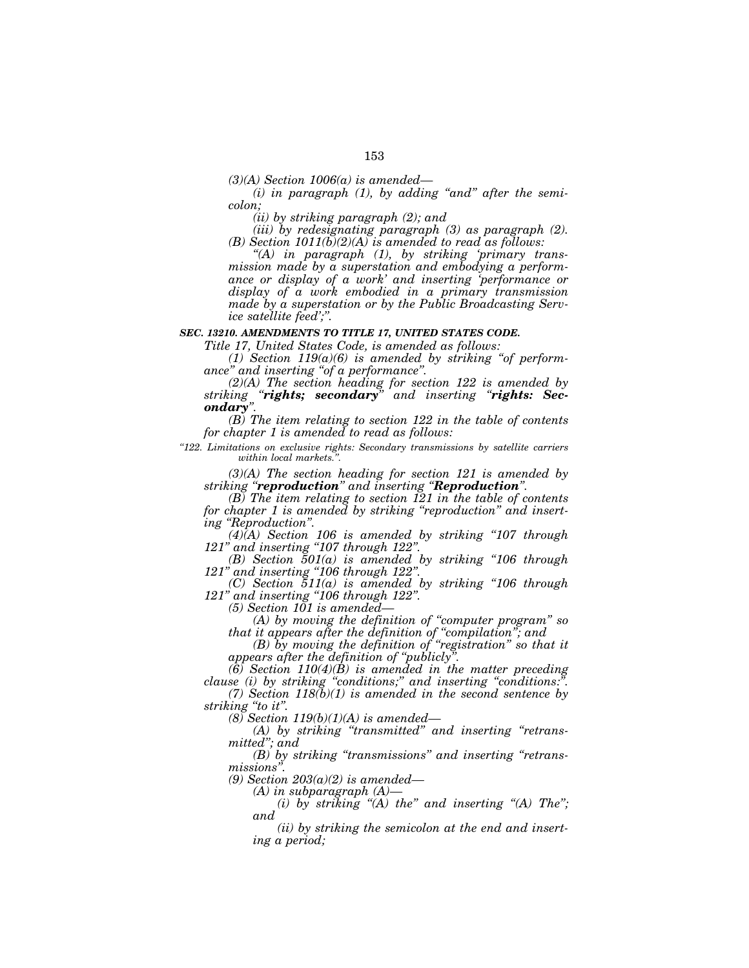*(3)(A) Section 1006(a) is amended—* 

*(i) in paragraph (1), by adding ''and'' after the semicolon;* 

*(ii) by striking paragraph (2); and* 

*(iii) by redesignating paragraph (3) as paragraph (2). (B) Section 1011(b)(2)(A) is amended to read as follows:* 

*''(A) in paragraph (1), by striking 'primary transmission made by a superstation and embodying a performance or display of a work' and inserting 'performance or display of a work embodied in a primary transmission made by a superstation or by the Public Broadcasting Service satellite feed';''.* 

### *SEC. 13210. AMENDMENTS TO TITLE 17, UNITED STATES CODE.*

*Title 17, United States Code, is amended as follows:* 

*(1) Section 119(a)(6) is amended by striking ''of perform-*

ance" and inserting "of a performance".<br>(2)(A) The section heading for section 122 is amended by *(2)(A) The section heading for section 122 is amended by striking ''rights; secondary'' and inserting ''rights: Secondary''.* 

*(B) The item relating to section 122 in the table of contents for chapter 1 is amended to read as follows:* 

*''122. Limitations on exclusive rights: Secondary transmissions by satellite carriers within local markets.''.* 

*(3)(A) The section heading for section 121 is amended by striking ''reproduction'' and inserting ''Reproduction''.* 

*(B) The item relating to section 121 in the table of contents for chapter 1 is amended by striking ''reproduction'' and inserting ''Reproduction''.* 

*(4)(A) Section 106 is amended by striking ''107 through 121'' and inserting ''107 through 122''.* 

*(B) Section 501(a) is amended by striking ''106 through 121'' and inserting ''106 through 122''.* 

*(C) Section 511(a) is amended by striking ''106 through 121'' and inserting ''106 through 122''.* 

*(5) Section 101 is amended—* 

*(A) by moving the definition of ''computer program'' so that it appears after the definition of ''compilation''; and* 

*(B) by moving the definition of ''registration'' so that it appears after the definition of ''publicly''.* 

*(6) Section 110(4)(B) is amended in the matter preceding clause (i) by striking "conditions;" and inserting "conditions:* 

*(7) Section 118(b)(1) is amended in the second sentence by striking ''to it''.* 

*(8) Section 119(b)(1)(A) is amended—* 

*(A) by striking ''transmitted'' and inserting ''retransmitted''; and* 

*(B) by striking ''transmissions'' and inserting ''retrans*missions".<br>
(9) Section 203(a)(2) is amended—<br>
(A) in subparagraph (A)—<br>
(i) by striking "(A) the" and inserting "(A) The";

*and* 

*(ii) by striking the semicolon at the end and inserting a period;*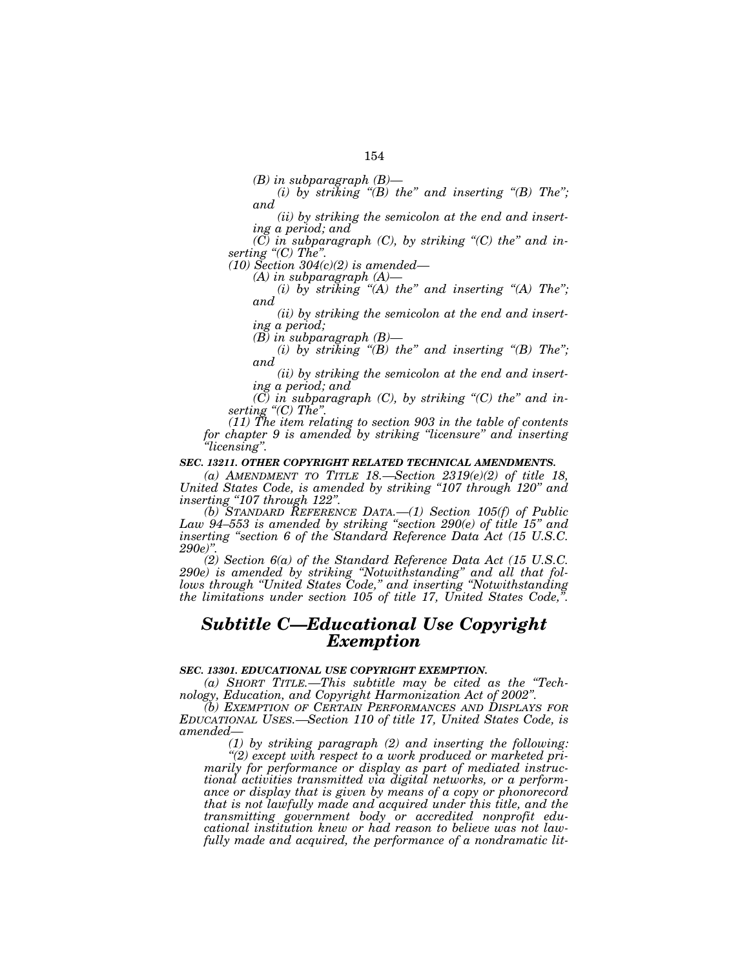*(B) in subparagraph (B)— (i) by striking ''(B) the'' and inserting ''(B) The''; and* 

*(ii) by striking the semicolon at the end and inserting a period; and* 

*(C) in subparagraph (C), by striking ''(C) the'' and in-*

*(10) Section 304(c)(2) is amended—*<br> *(A) in subparagraph (A)—*<br> *(i) by striking "(A) the" and inserting "(A) The"; and* 

*(ii) by striking the semicolon at the end and inserting a period;* 

*(B) in subparagraph (B)— (i) by striking ''(B) the'' and inserting ''(B) The''; and* 

*(ii) by striking the semicolon at the end and inserting a period; and* 

 $(C)$  *in subparagraph (C), by striking "(C) the" and inserting "(C) The".* 

 $(11)$  The item relating to section 903 in the table of contents *for chapter 9 is amended by striking ''licensure'' and inserting ''licensing''.* 

### *SEC. 13211. OTHER COPYRIGHT RELATED TECHNICAL AMENDMENTS.*

*(a) AMENDMENT TO TITLE 18.—Section 2319(e)(2) of title 18, United States Code, is amended by striking ''107 through 120'' and* 

*(b)* STANDARD REFERENCE DATA.—(1) Section 105(f) of Public *Law 94–553 is amended by striking ''section 290(e) of title 15'' and inserting ''section 6 of the Standard Reference Data Act (15 U.S.C. 290e)''.* 

*(2) Section 6(a) of the Standard Reference Data Act (15 U.S.C. 290e) is amended by striking ''Notwithstanding'' and all that follows through ''United States Code,'' and inserting ''Notwithstanding the limitations under section 105 of title 17, United States Code,''.* 

## *Subtitle C—Educational Use Copyright Exemption*

### *SEC. 13301. EDUCATIONAL USE COPYRIGHT EXEMPTION.*

*(a) SHORT TITLE.—This subtitle may be cited as the ''Tech-*

*nology, Education, and Copyright Harmonization Act of 2002''. (b) EXEMPTION OF CERTAIN PERFORMANCES AND DISPLAYS FOR EDUCATIONAL USES.—Section 110 of title 17, United States Code, is amended—* 

*(1) by striking paragraph (2) and inserting the following:* 

*''(2) except with respect to a work produced or marketed primarily for performance or display as part of mediated instructional activities transmitted via digital networks, or a performance or display that is given by means of a copy or phonorecord that is not lawfully made and acquired under this title, and the transmitting government body or accredited nonprofit educational institution knew or had reason to believe was not lawfully made and acquired, the performance of a nondramatic lit-*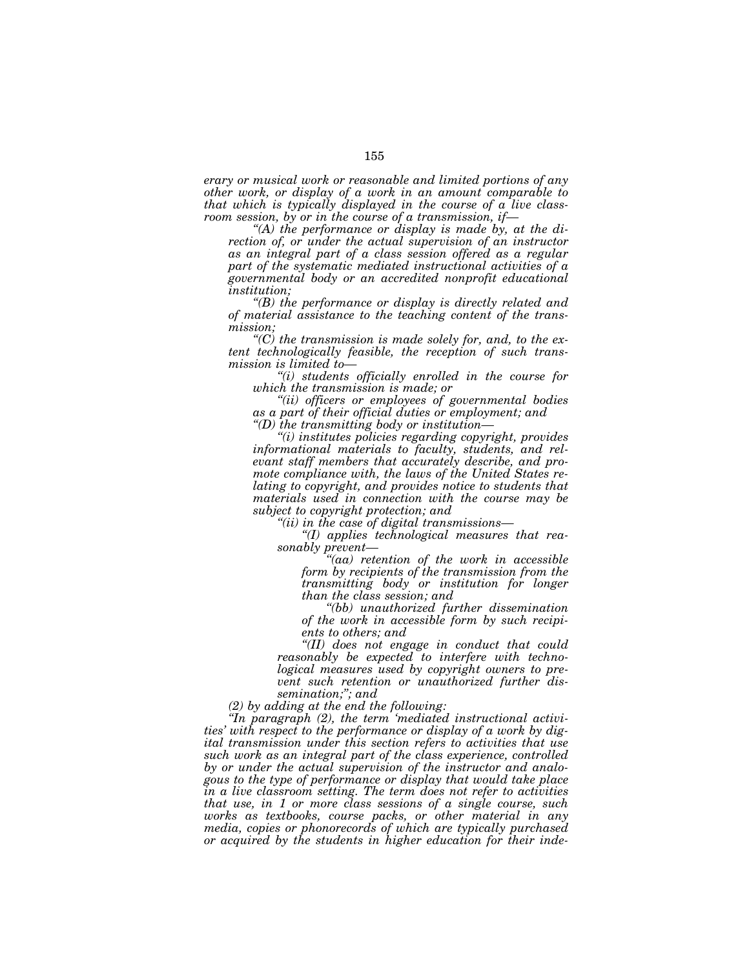*erary or musical work or reasonable and limited portions of any other work, or display of a work in an amount comparable to that which is typically displayed in the course of a live class-*<br>room session, by or in the course of a transmission, if—

*raopling is made by, at the display is made by, at the direction of, or under the actual supervision of an instructor as an integral part of a class session offered as a regular part of the systematic mediated instructional activities of a governmental body or an accredited nonprofit educational* 

*institution; ''(B) the performance or display is directly related and of material assistance to the teaching content of the trans*mission;<br>"(C) the transmission is made solely for, and, to the ex-

*tent technologically feasible, the reception of such trans-*

mission is limited to—<br>
"(i) students officially enrolled in the course for<br>
which the transmission is made; or

*which the transmission is made; or ''(ii) officers or employees of governmental bodies as a part of their official duties or employment; and* 

*''(D) the transmitting body or institution— ''(i) institutes policies regarding copyright, provides informational materials to faculty, students, and relevant staff members that accurately describe, and promote compliance with, the laws of the United States relating to copyright, and provides notice to students that materials used in connection with the course may be* 

*subject to copyright protection; and ''(ii) in the case of digital transmissions— ''(I) applies technological measures that rea-*

*sonably prevent— ''(aa) retention of the work in accessible form by recipients of the transmission from the transmitting body or institution for longer than the class session; and* 

*''(bb) unauthorized further dissemination of the work in accessible form by such recipients to others; and* 

*''(II) does not engage in conduct that could reasonably be expected to interfere with technological measures used by copyright owners to prevent such retention or unauthorized further dissemination;''; and* 

*(2) by adding at the end the following:* 

*''In paragraph (2), the term 'mediated instructional activities' with respect to the performance or display of a work by digital transmission under this section refers to activities that use such work as an integral part of the class experience, controlled by or under the actual supervision of the instructor and analogous to the type of performance or display that would take place in a live classroom setting. The term does not refer to activities that use, in 1 or more class sessions of a single course, such works as textbooks, course packs, or other material in any media, copies or phonorecords of which are typically purchased or acquired by the students in higher education for their inde-*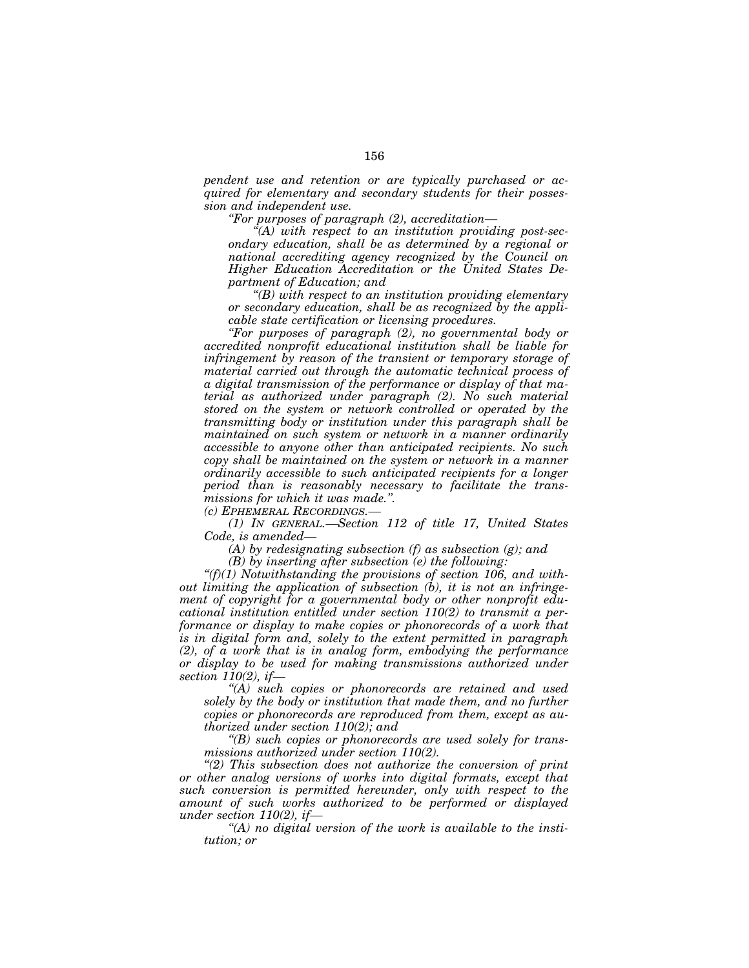*pendent use and retention or are typically purchased or acquired for elementary and secondary students for their possession and independent use.* 

*''For purposes of paragraph (2), accreditation—* 

*''(A) with respect to an institution providing post-secondary education, shall be as determined by a regional or national accrediting agency recognized by the Council on Higher Education Accreditation or the United States Department of Education; and* 

*''(B) with respect to an institution providing elementary or secondary education, shall be as recognized by the applicable state certification or licensing procedures.* 

*''For purposes of paragraph (2), no governmental body or accredited nonprofit educational institution shall be liable for infringement by reason of the transient or temporary storage of material carried out through the automatic technical process of a digital transmission of the performance or display of that material as authorized under paragraph (2). No such material stored on the system or network controlled or operated by the transmitting body or institution under this paragraph shall be maintained on such system or network in a manner ordinarily accessible to anyone other than anticipated recipients. No such copy shall be maintained on the system or network in a manner ordinarily accessible to such anticipated recipients for a longer period than is reasonably necessary to facilitate the transmissions for which it was made.''.* 

*(c) EPHEMERAL RECORDINGS.—* 

*(1) IN GENERAL.—Section 112 of title 17, United States Code, is amended—* 

*(A) by redesignating subsection (f) as subsection (g); and* 

*(B) by inserting after subsection (e) the following:* 

*''(f)(1) Notwithstanding the provisions of section 106, and without limiting the application of subsection (b), it is not an infringement of copyright for a governmental body or other nonprofit educational institution entitled under section 110(2) to transmit a performance or display to make copies or phonorecords of a work that is in digital form and, solely to the extent permitted in paragraph (2), of a work that is in analog form, embodying the performance or display to be used for making transmissions authorized under section 110(2), if—* 

*''(A) such copies or phonorecords are retained and used solely by the body or institution that made them, and no further copies or phonorecords are reproduced from them, except as authorized under section 110(2); and* 

*''(B) such copies or phonorecords are used solely for transmissions authorized under section 110(2).* 

*''(2) This subsection does not authorize the conversion of print or other analog versions of works into digital formats, except that such conversion is permitted hereunder, only with respect to the amount of such works authorized to be performed or displayed under section 110(2), if—* 

*''(A) no digital version of the work is available to the institution; or*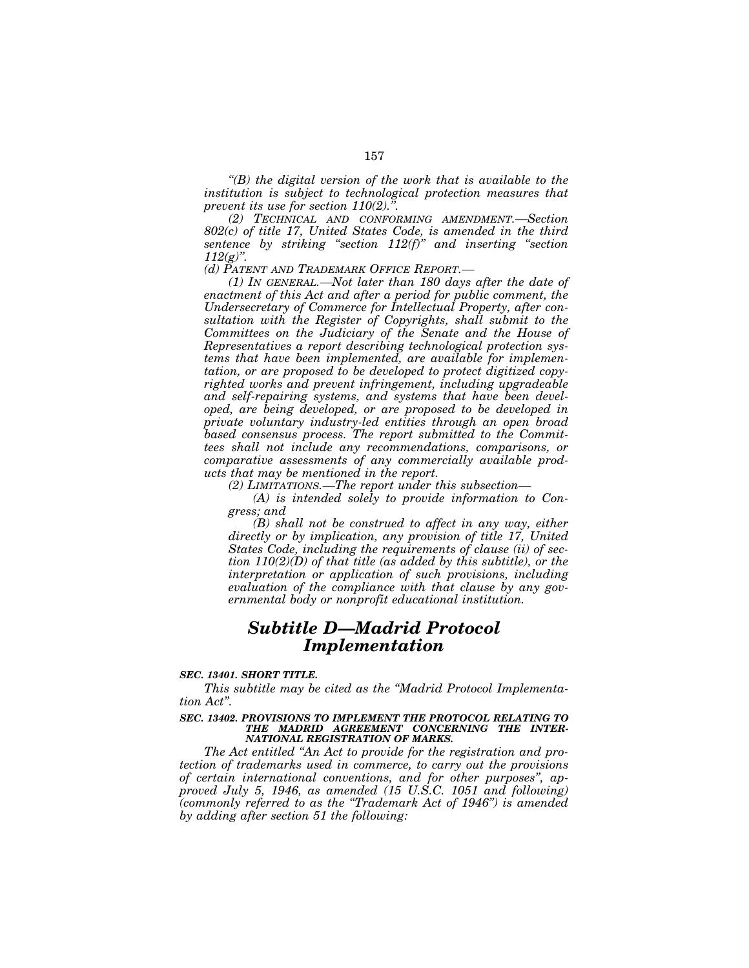*''(B) the digital version of the work that is available to the institution is subject to technological protection measures that prevent its use for section 110(2).''.* 

*(2) TECHNICAL AND CONFORMING AMENDMENT.—Section 802(c) of title 17, United States Code, is amended in the third sentence by striking ''section 112(f)'' and inserting ''section 112(g)''.* 

*(d) PATENT AND TRADEMARK OFFICE REPORT.—* 

*(1) IN GENERAL.—Not later than 180 days after the date of enactment of this Act and after a period for public comment, the Undersecretary of Commerce for Intellectual Property, after consultation with the Register of Copyrights, shall submit to the Committees on the Judiciary of the Senate and the House of Representatives a report describing technological protection systems that have been implemented, are available for implementation, or are proposed to be developed to protect digitized copyrighted works and prevent infringement, including upgradeable and self-repairing systems, and systems that have been developed, are being developed, or are proposed to be developed in private voluntary industry-led entities through an open broad based consensus process. The report submitted to the Committees shall not include any recommendations, comparisons, or comparative assessments of any commercially available products that may be mentioned in the report.* 

*(2) LIMITATIONS.—The report under this subsection—* 

*(A) is intended solely to provide information to Congress; and* 

*(B) shall not be construed to affect in any way, either directly or by implication, any provision of title 17, United States Code, including the requirements of clause (ii) of section 110(2)(D) of that title (as added by this subtitle), or the interpretation or application of such provisions, including evaluation of the compliance with that clause by any governmental body or nonprofit educational institution.* 

# *Subtitle D—Madrid Protocol Implementation*

### *SEC. 13401. SHORT TITLE.*

*This subtitle may be cited as the ''Madrid Protocol Implementation Act''.* 

### **SEC. 13402. PROVISIONS TO IMPLEMENT THE PROTOCOL RELATING TO** *THE MADRID AGREEMENT CONCERNING THE INTER-NATIONAL REGISTRATION OF MARKS.*

*The Act entitled ''An Act to provide for the registration and protection of trademarks used in commerce, to carry out the provisions of certain international conventions, and for other purposes'', approved July 5, 1946, as amended (15 U.S.C. 1051 and following) (commonly referred to as the ''Trademark Act of 1946'') is amended by adding after section 51 the following:*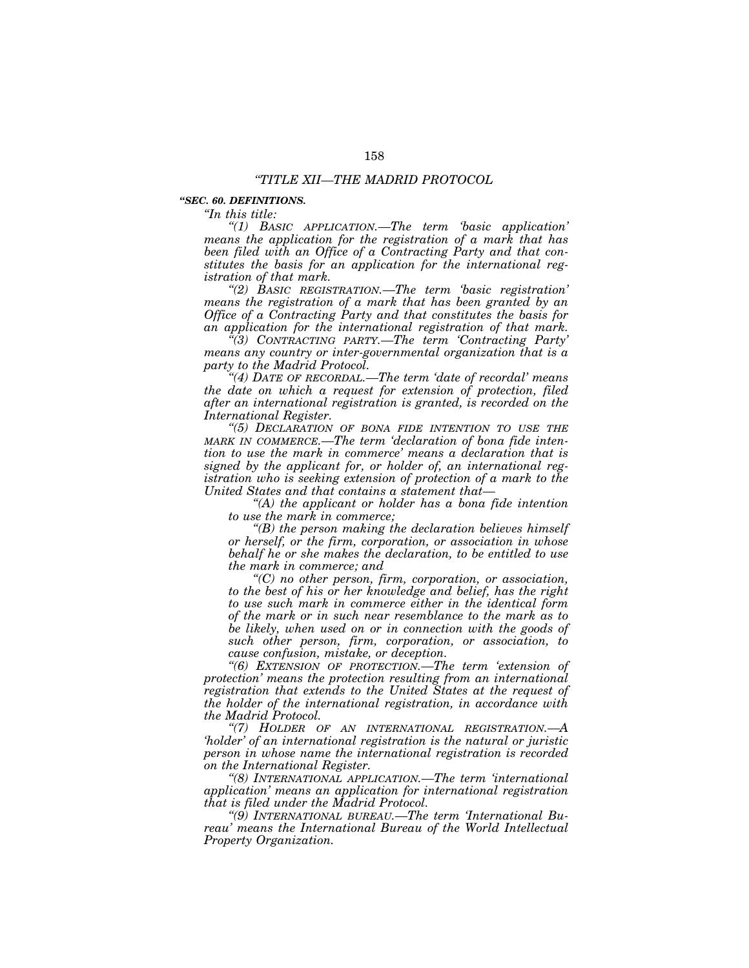### *''SEC. 60. DEFINITIONS.*

*''In this title:* 

*''(1) BASIC APPLICATION.—The term 'basic application' means the application for the registration of a mark that has been filed with an Office of a Contracting Party and that constitutes the basis for an application for the international registration of that mark.* 

*''(2) BASIC REGISTRATION.—The term 'basic registration' means the registration of a mark that has been granted by an Office of a Contracting Party and that constitutes the basis for an application for the international registration of that mark.* 

*''(3) CONTRACTING PARTY.—The term 'Contracting Party' means any country or inter-governmental organization that is a party to the Madrid Protocol.* 

*''(4) DATE OF RECORDAL.—The term 'date of recordal' means the date on which a request for extension of protection, filed after an international registration is granted, is recorded on the International Register.* 

*''(5) DECLARATION OF BONA FIDE INTENTION TO USE THE MARK IN COMMERCE.—The term 'declaration of bona fide intention to use the mark in commerce' means a declaration that is signed by the applicant for, or holder of, an international registration who is seeking extension of protection of a mark to the United States and that contains a statement that—* 

*''(A) the applicant or holder has a bona fide intention to use the mark in commerce;* 

*''(B) the person making the declaration believes himself or herself, or the firm, corporation, or association in whose behalf he or she makes the declaration, to be entitled to use the mark in commerce; and* 

*''(C) no other person, firm, corporation, or association, to the best of his or her knowledge and belief, has the right to use such mark in commerce either in the identical form of the mark or in such near resemblance to the mark as to be likely, when used on or in connection with the goods of such other person, firm, corporation, or association, to cause confusion, mistake, or deception.* 

*''(6) EXTENSION OF PROTECTION.—The term 'extension of protection' means the protection resulting from an international registration that extends to the United States at the request of the holder of the international registration, in accordance with the Madrid Protocol.* 

*''(7) HOLDER OF AN INTERNATIONAL REGISTRATION.—A 'holder' of an international registration is the natural or juristic person in whose name the international registration is recorded on the International Register.* 

*''(8) INTERNATIONAL APPLICATION.—The term 'international application' means an application for international registration that is filed under the Madrid Protocol.* 

*''(9) INTERNATIONAL BUREAU.—The term 'International Bureau' means the International Bureau of the World Intellectual Property Organization.*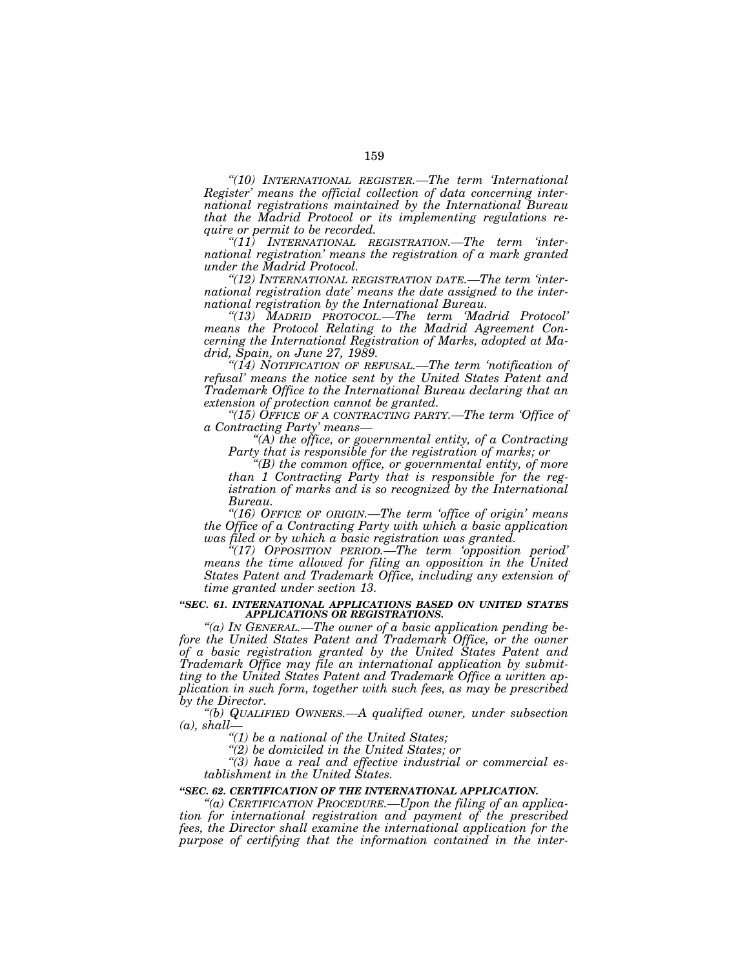*''(10) INTERNATIONAL REGISTER.—The term 'International Register' means the official collection of data concerning international registrations maintained by the International Bureau that the Madrid Protocol or its implementing regulations require or permit to be recorded.* 

*''(11) INTERNATIONAL REGISTRATION.—The term 'international registration' means the registration of a mark granted under the Madrid Protocol.* 

*''(12) INTERNATIONAL REGISTRATION DATE.—The term 'international registration date' means the date assigned to the international registration by the International Bureau.* 

*''(13) MADRID PROTOCOL.—The term 'Madrid Protocol' means the Protocol Relating to the Madrid Agreement Concerning the International Registration of Marks, adopted at Madrid, Spain, on June 27, 1989.* 

*''(14) NOTIFICATION OF REFUSAL.—The term 'notification of refusal' means the notice sent by the United States Patent and Trademark Office to the International Bureau declaring that an extension of protection cannot be granted.* 

*''(15) OFFICE OF A CONTRACTING PARTY.—The term 'Office of a Contracting Party' means—* 

*''(A) the office, or governmental entity, of a Contracting Party that is responsible for the registration of marks; or* 

*''(B) the common office, or governmental entity, of more than 1 Contracting Party that is responsible for the registration of marks and is so recognized by the International Bureau.* 

*''(16) OFFICE OF ORIGIN.—The term 'office of origin' means the Office of a Contracting Party with which a basic application was filed or by which a basic registration was granted.* 

*''(17) OPPOSITION PERIOD.—The term 'opposition period' means the time allowed for filing an opposition in the United States Patent and Trademark Office, including any extension of time granted under section 13.* 

### *''SEC. 61. INTERNATIONAL APPLICATIONS BASED ON UNITED STATES APPLICATIONS OR REGISTRATIONS.*

*''(a) IN GENERAL.—The owner of a basic application pending before the United States Patent and Trademark Office, or the owner of a basic registration granted by the United States Patent and Trademark Office may file an international application by submitting to the United States Patent and Trademark Office a written application in such form, together with such fees, as may be prescribed* 

*by the Director. ''(b) QUALIFIED OWNERS.—A qualified owner, under subsection (a), shall—* 

*''(1) be a national of the United States;* 

*''(2) be domiciled in the United States; or* 

*''(3) have a real and effective industrial or commercial establishment in the United States.* 

### *''SEC. 62. CERTIFICATION OF THE INTERNATIONAL APPLICATION.*

*''(a) CERTIFICATION PROCEDURE.—Upon the filing of an application for international registration and payment of the prescribed fees, the Director shall examine the international application for the purpose of certifying that the information contained in the inter-*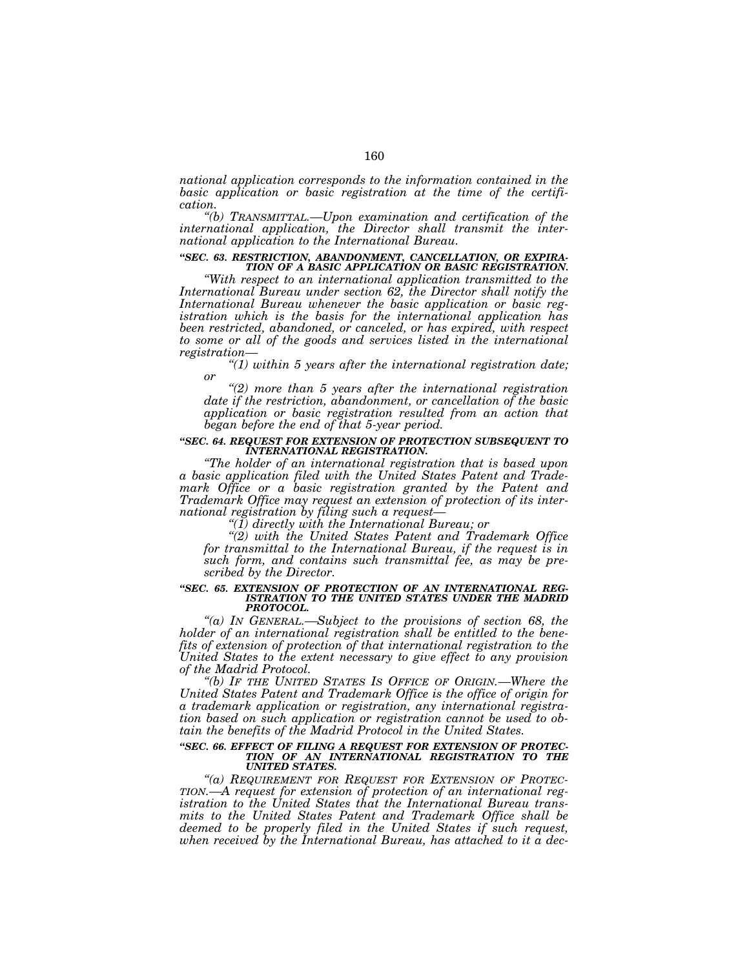*national application corresponds to the information contained in the basic application or basic registration at the time of the certification. ''(b) TRANSMITTAL.—Upon examination and certification of the* 

*international application, the Director shall transmit the international application to the International Bureau.* 

# *''SEC. 63. RESTRICTION, ABANDONMENT, CANCELLATION, OR EXPIRA-TION OF A BASIC APPLICATION OR BASIC REGISTRATION.*

*''With respect to an international application transmitted to the International Bureau under section 62, the Director shall notify the International Bureau whenever the basic application or basic registration which is the basis for the international application has been restricted, abandoned, or canceled, or has expired, with respect to some or all of the goods and services listed in the international registration— ''(1) within 5 years after the international registration date;* 

*or ''(2) more than 5 years after the international registration date if the restriction, abandonment, or cancellation of the basic application or basic registration resulted from an action that began before the end of that 5-year period.* 

### *''SEC. 64. REQUEST FOR EXTENSION OF PROTECTION SUBSEQUENT TO INTERNATIONAL REGISTRATION.*

*''The holder of an international registration that is based upon a basic application filed with the United States Patent and Trademark Office or a basic registration granted by the Patent and Trademark Office may request an extension of protection of its international registration by filing such a request— ''(1) directly with the International Bureau; or* 

 *''(2) with the United States Patent and Trademark Office for transmittal to the International Bureau, if the request is in such form, and contains such transmittal fee, as may be prescribed by the Director.* 

#### *''SEC. 65. EXTENSION OF PROTECTION OF AN INTERNATIONAL REG-ISTRATION TO THE UNITED STATES UNDER THE MADRID PROTOCOL.*

*''(a) IN GENERAL.—Subject to the provisions of section 68, the holder of an international registration shall be entitled to the bene*fits of extension of protection of that international registration to the *United States to the extent necessary to give effect to any provision* 

*of the Madrid Protocol. ''(b) IF THE UNITED STATES IS OFFICE OF ORIGIN.—Where the United States Patent and Trademark Office is the office of origin for a trademark application or registration, any international registration based on such application or registration cannot be used to obtain the benefits of the Madrid Protocol in the United States.* 

#### *''SEC. 66. EFFECT OF FILING A REQUEST FOR EXTENSION OF PROTEC-TION OF AN INTERNATIONAL REGISTRATION TO THE UNITED STATES.*

*''(a) REQUIREMENT FOR REQUEST FOR EXTENSION OF PROTEC-TION.—A request for extension of protection of an international registration to the United States that the International Bureau transmits to the United States Patent and Trademark Office shall be deemed to be properly filed in the United States if such request, when received by the International Bureau, has attached to it a dec-*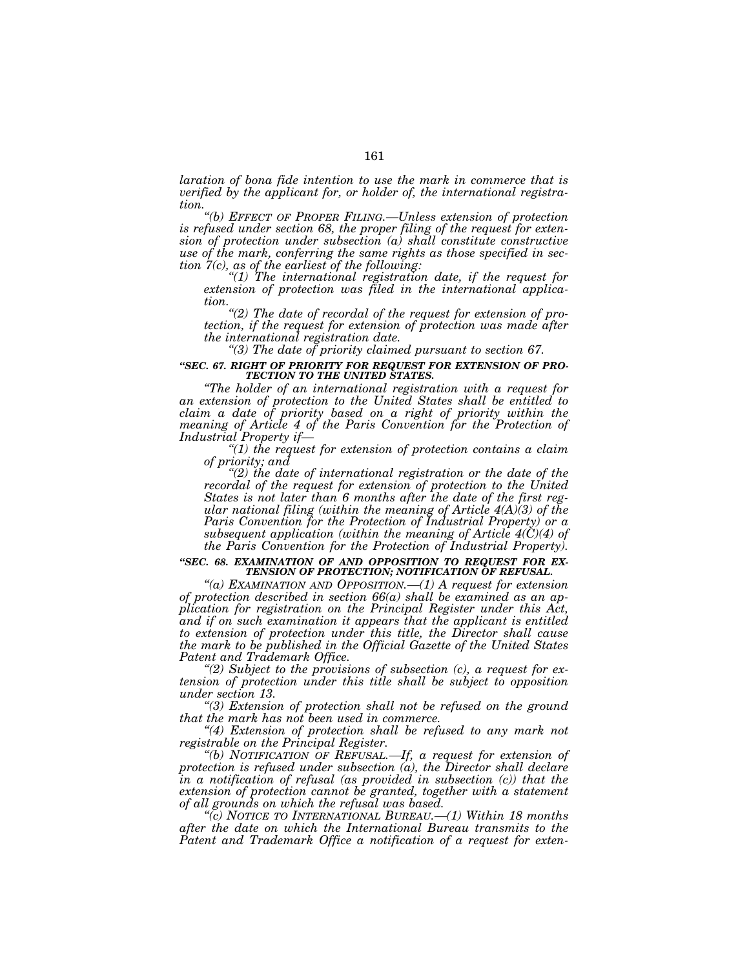*laration of bona fide intention to use the mark in commerce that is verified by the applicant for, or holder of, the international registra-*

*tion. ''(b) EFFECT OF PROPER FILING.—Unless extension of protection is refused under section 68, the proper filing of the request for extension of protection under subsection (a) shall constitute constructive use of the mark, conferring the same rights as those specified in sec-*

*tion 7(c), as of the earliest of the following: ''(1) The international registration date, if the request for extension of protection was filed in the international application. ''(2) The date of recordal of the request for extension of pro-*

*tection, if the request for extension of protection was made after the international registration date. ''(3) The date of priority claimed pursuant to section 67.* 

### *''SEC. 67. RIGHT OF PRIORITY FOR REQUEST FOR EXTENSION OF PRO-TECTION TO THE UNITED STATES.*

*''The holder of an international registration with a request for an extension of protection to the United States shall be entitled to claim a date of priority based on a right of priority within the*  meaning of Article 4 of the Paris Convention for the Protection of *Industrial Property if— ''(1) the request for extension of protection contains a claim* 

*of priority; and ''(2) the date of international registration or the date of the* 

*recordal of the request for extension of protection to the United States is not later than 6 months after the date of the first regular national filing (within the meaning of Article 4(A)(3) of the Paris Convention for the Protection of Industrial Property) or a subsequent application (within the meaning of Article 4(C)(4) of the Paris Convention for the Protection of Industrial Property).* 

# *''SEC. 68. EXAMINATION OF AND OPPOSITION TO REQUEST FOR EX-TENSION OF PROTECTION; NOTIFICATION OF REFUSAL.*

*''(a) EXAMINATION AND OPPOSITION.—(1) A request for extension of protection described in section 66(a) shall be examined as an application for registration on the Principal Register under this Act,*  and if on such examination it appears that the applicant is entitled *to extension of protection under this title, the Director shall cause the mark to be published in the Official Gazette of the United States* 

"(2) Subject to the provisions of subsection (c), a request for ex*tension of protection under this title shall be subject to opposition under section 13.* 

*''(3) Extension of protection shall not be refused on the ground that the mark has not been used in commerce.* 

*''(4) Extension of protection shall be refused to any mark not registrable on the Principal Register.* 

*''(b) NOTIFICATION OF REFUSAL.—If, a request for extension of protection is refused under subsection (a), the Director shall declare in a notification of refusal (as provided in subsection (c)) that the extension of protection cannot be granted, together with a statement of all grounds on which the refusal was based.* 

*''(c) NOTICE TO INTERNATIONAL BUREAU.—(1) Within 18 months after the date on which the International Bureau transmits to the Patent and Trademark Office a notification of a request for exten-*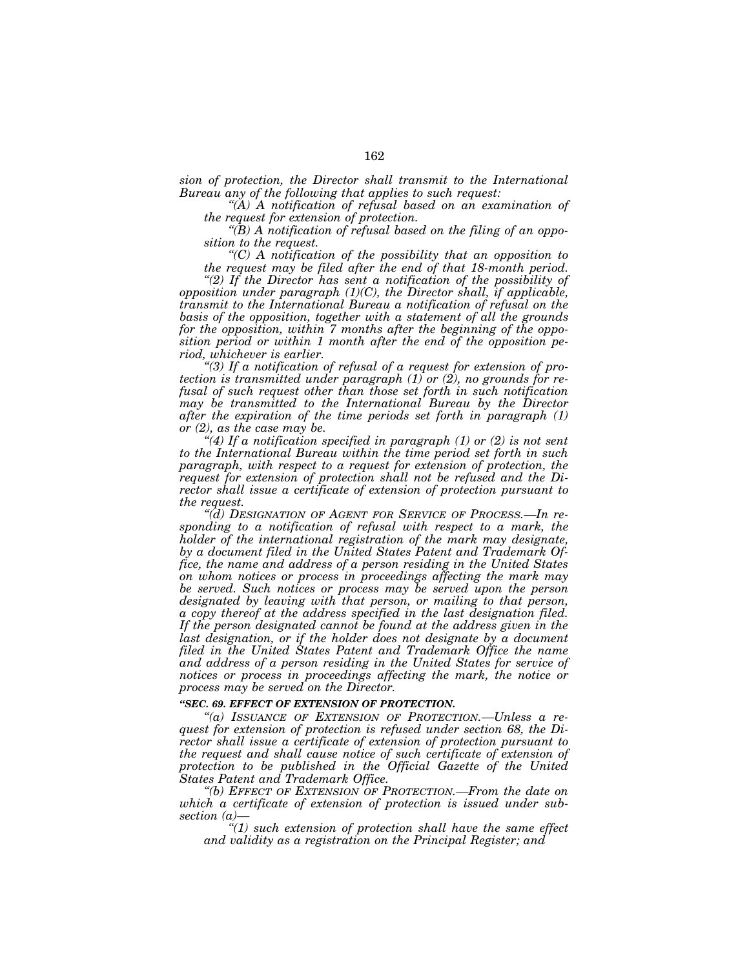*sion of protection, the Director shall transmit to the International Bureau any of the following that applies to such request:* 

*''(A) A notification of refusal based on an examination of the request for extension of protection.* 

*''(B) A notification of refusal based on the filing of an opposition to the request.* 

*''(C) A notification of the possibility that an opposition to the request may be filed after the end of that 18-month period.* 

*''(2) If the Director has sent a notification of the possibility of opposition under paragraph (1)(C), the Director shall, if applicable, transmit to the International Bureau a notification of refusal on the basis of the opposition, together with a statement of all the grounds for the opposition, within 7 months after the beginning of the opposition period or within 1 month after the end of the opposition period, whichever is earlier.* 

*''(3) If a notification of refusal of a request for extension of protection is transmitted under paragraph (1) or (2), no grounds for refusal of such request other than those set forth in such notification may be transmitted to the International Bureau by the Director after the expiration of the time periods set forth in paragraph (1) or (2), as the case may be.* 

*''(4) If a notification specified in paragraph (1) or (2) is not sent to the International Bureau within the time period set forth in such paragraph, with respect to a request for extension of protection, the request for extension of protection shall not be refused and the Director shall issue a certificate of extension of protection pursuant to the request.* 

*''(d) DESIGNATION OF AGENT FOR SERVICE OF PROCESS.—In responding to a notification of refusal with respect to a mark, the holder of the international registration of the mark may designate, by a document filed in the United States Patent and Trademark Office, the name and address of a person residing in the United States on whom notices or process in proceedings affecting the mark may be served. Such notices or process may be served upon the person designated by leaving with that person, or mailing to that person, a copy thereof at the address specified in the last designation filed.*  If the person designated cannot be found at the address given in the last designation, or if the holder does not designate by a document *filed in the United States Patent and Trademark Office the name and address of a person residing in the United States for service of notices or process in proceedings affecting the mark, the notice or process may be served on the Director.* 

### *''SEC. 69. EFFECT OF EXTENSION OF PROTECTION.*

*''(a) ISSUANCE OF EXTENSION OF PROTECTION.—Unless a request for extension of protection is refused under section 68, the Director shall issue a certificate of extension of protection pursuant to the request and shall cause notice of such certificate of extension of protection to be published in the Official Gazette of the United States Patent and Trademark Office.* 

*''(b) EFFECT OF EXTENSION OF PROTECTION.—From the date on which a certificate of extension of protection is issued under subsection (a)—* 

*''(1) such extension of protection shall have the same effect and validity as a registration on the Principal Register; and*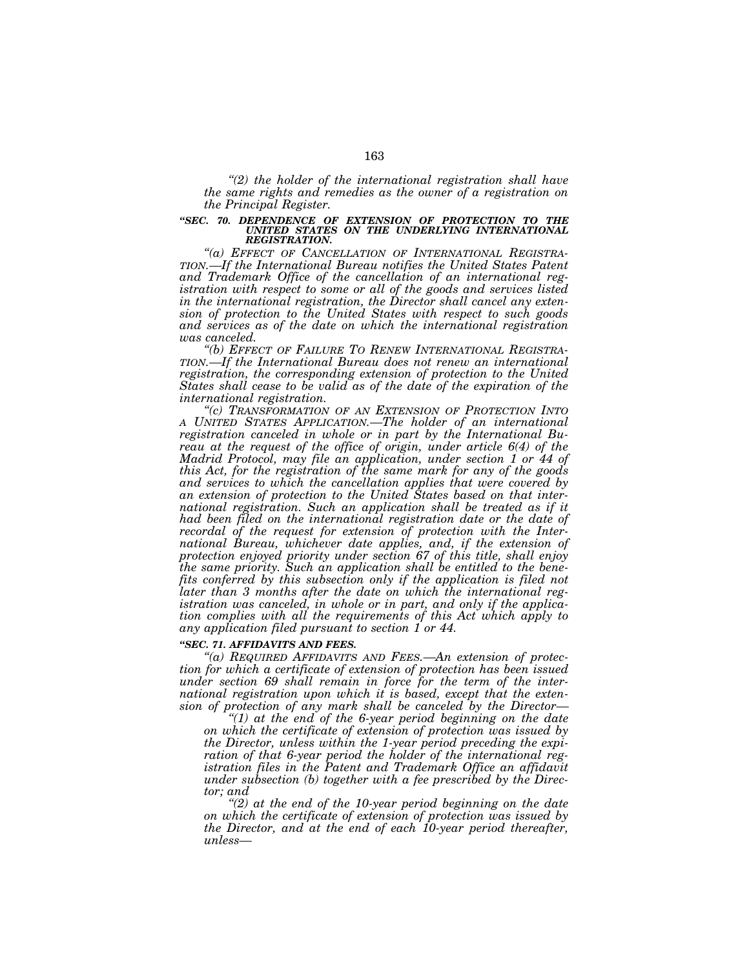*''(2) the holder of the international registration shall have the same rights and remedies as the owner of a registration on the Principal Register.* 

### *''SEC. 70. DEPENDENCE OF EXTENSION OF PROTECTION TO THE UNITED STATES ON THE UNDERLYING INTERNATIONAL REGISTRATION.*

*''(a) EFFECT OF CANCELLATION OF INTERNATIONAL REGISTRA- TION.—If the International Bureau notifies the United States Patent and Trademark Office of the cancellation of an international registration with respect to some or all of the goods and services listed in the international registration, the Director shall cancel any extension of protection to the United States with respect to such goods and services as of the date on which the international registration* 

*was canceled. ''(b) EFFECT OF FAILURE TO RENEW INTERNATIONAL REGISTRA- TION.—If the International Bureau does not renew an international registration, the corresponding extension of protection to the United States shall cease to be valid as of the date of the expiration of the international registration. ''(c) TRANSFORMATION OF AN EXTENSION OF PROTECTION INTO* 

*A UNITED STATES APPLICATION.—The holder of an international registration canceled in whole or in part by the International Bureau at the request of the office of origin, under article 6(4) of the Madrid Protocol, may file an application, under section 1 or 44 of this Act, for the registration of the same mark for any of the goods and services to which the cancellation applies that were covered by an extension of protection to the United States based on that international registration. Such an application shall be treated as if it had been filed on the international registration date or the date of recordal of the request for extension of protection with the International Bureau, whichever date applies, and, if the extension of protection enjoyed priority under section 67 of this title, shall enjoy the same priority. Such an application shall be entitled to the benefits conferred by this subsection only if the application is filed not later than 3 months after the date on which the international registration was canceled, in whole or in part, and only if the application complies with all the requirements of this Act which apply to any application filed pursuant to section 1 or 44.* 

### *''SEC. 71. AFFIDAVITS AND FEES.*

*''(a) REQUIRED AFFIDAVITS AND FEES.—An extension of protection for which a certificate of extension of protection has been issued under section 69 shall remain in force for the term of the international registration upon which it is based, except that the extension of protection of any mark shall be canceled by the Director—* 

*''(1) at the end of the 6-year period beginning on the date on which the certificate of extension of protection was issued by the Director, unless within the 1-year period preceding the expiration of that 6-year period the holder of the international registration files in the Patent and Trademark Office an affidavit under subsection (b) together with a fee prescribed by the Director; and ''(2) at the end of the 10-year period beginning on the date* 

*on which the certificate of extension of protection was issued by the Director, and at the end of each 10-year period thereafter, unless—*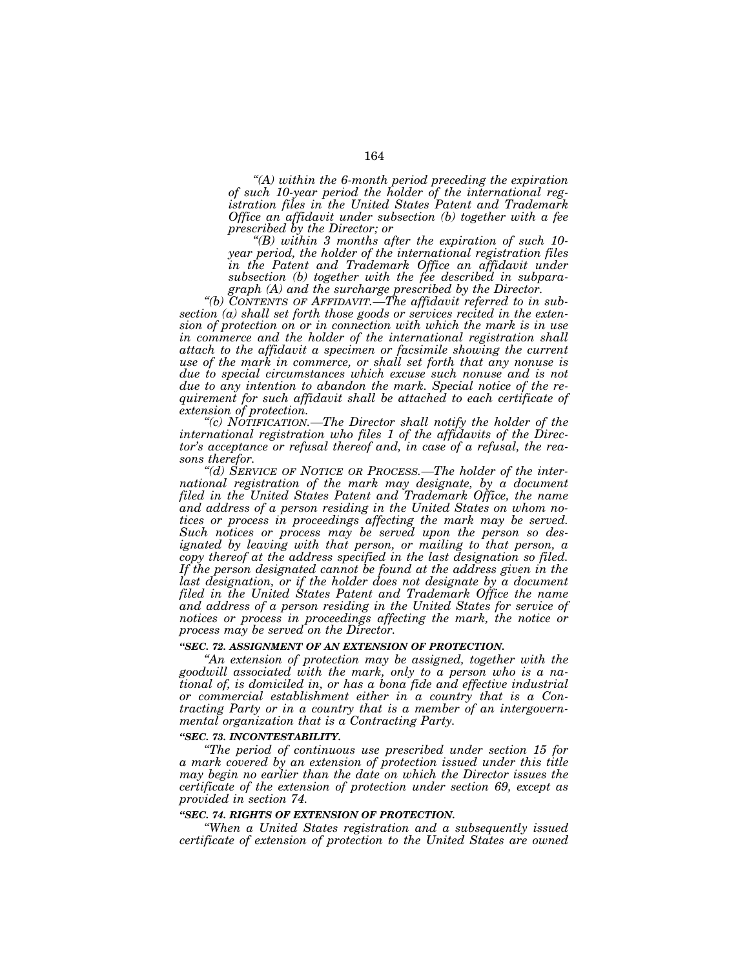*''(A) within the 6-month period preceding the expiration of such 10-year period the holder of the international registration files in the United States Patent and Trademark Office an affidavit under subsection (b) together with a fee* 

*parage by the Birthin 3 months after the expiration of such 10year period, the holder of the international registration files*  in the Patent and Trademark Office an affidavit under *subsection (b) together with the fee described in subpara-*

*graph (A) and the surcharge prescribed by the Director. ''(b) CONTENTS OF AFFIDAVIT.—The affidavit referred to in subsection (a) shall set forth those goods or services recited in the extension of protection on or in connection with which the mark is in use in commerce and the holder of the international registration shall attach to the affidavit a specimen or facsimile showing the current use of the mark in commerce, or shall set forth that any nonuse is due to special circumstances which excuse such nonuse and is not due to any intention to abandon the mark. Special notice of the requirement for such affidavit shall be attached to each certificate of* 

*extersion of protection of the Director shall notify the holder of the*  $\mu$ *international registration who files 1 of the affidavits of the Director's acceptance or refusal thereof and, in case of a refusal, the reasons therefor.* 

*''(d) SERVICE OF NOTICE OR PROCESS.—The holder of the international registration of the mark may designate, by a document filed in the United States Patent and Trademark Office, the name and address of a person residing in the United States on whom notices or process in proceedings affecting the mark may be served. Such notices or process may be served upon the person so designated by leaving with that person, or mailing to that person, a copy thereof at the address specified in the last designation so filed.*  If the person designated cannot be found at the address given in the last designation, or if the holder does not designate by a document *filed in the United States Patent and Trademark Office the name and address of a person residing in the United States for service of notices or process in proceedings affecting the mark, the notice or process may be served on the Director.* 

### *''SEC. 72. ASSIGNMENT OF AN EXTENSION OF PROTECTION.*

*''An extension of protection may be assigned, together with the goodwill associated with the mark, only to a person who is a national of, is domiciled in, or has a bona fide and effective industrial or commercial establishment either in a country that is a Contracting Party or in a country that is a member of an intergovernmental organization that is a Contracting Party.* 

### *''SEC. 73. INCONTESTABILITY.*

*''The period of continuous use prescribed under section 15 for a mark covered by an extension of protection issued under this title may begin no earlier than the date on which the Director issues the certificate of the extension of protection under section 69, except as provided in section 74.* 

### *''SEC. 74. RIGHTS OF EXTENSION OF PROTECTION.*

*''When a United States registration and a subsequently issued certificate of extension of protection to the United States are owned*